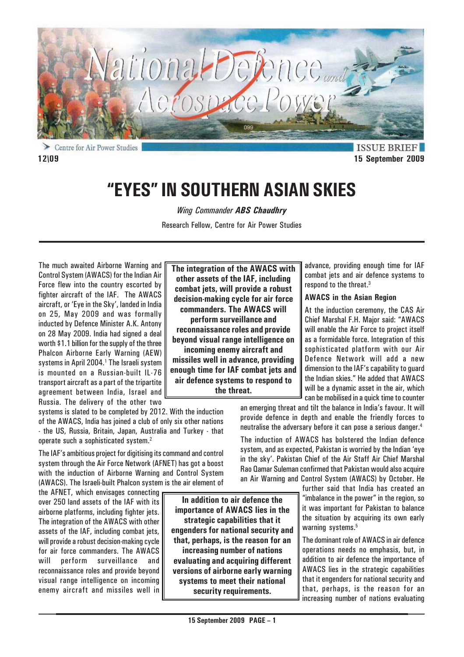

Centre for Air Power Studies **12\09 15 September 2009**

**ISSUE BRIEF** 

# **"EYES" IN SOUTHERN ASIAN SKIES**

*Wing Commander ABS Chaudhry*

Research Fellow, Centre for Air Power Studies

The much awaited Airborne Warning and Control System (AWACS) for the Indian Air Force flew into the country escorted by fighter aircraft of the IAF. The AWACS aircraft, or 'Eye in the Sky', landed in India on 25, May 2009 and was formally inducted by Defence Minister A.K. Antony on 28 May 2009. India had signed a deal worth \$1.1 billion for the supply of the three Phalcon Airborne Early Warning (AEW) systems in April 2004.<sup>1</sup> The Israeli system is mounted on a Russian-built IL-76 transport aircraft as a part of the tripartite agreement between India, Israel and Russia. The delivery of the other two

systems is slated to be completed by 2012. With the induction of the AWACS, India has joined a club of only six other nations - the US, Russia, Britain, Japan, Australia and Turkey - that operate such a sophisticated system.2

The IAF's ambitious project for digitising its command and control system through the Air Force Network (AFNET) has got a boost with the induction of Airborne Warning and Control System (AWACS). The Israeli-built Phalcon system is the air element of

the AFNET, which envisages connecting over 250 land assets of the IAF with its airborne platforms, including fighter jets. The integration of the AWACS with other assets of the IAF, including combat jets, will provide a robust decision-making cycle for air force commanders. The AWACS will perform surveillance and reconnaissance roles and provide beyond visual range intelligence on incoming enemy aircraft and missiles well in

**The integration of the AWACS with other assets of the IAF, including combat jets, will provide a robust decision-making cycle for air force commanders. The AWACS will**

**perform surveillance and reconnaissance roles and provide beyond visual range intelligence on incoming enemy aircraft and missiles well in advance, providing enough time for IAF combat jets and air defence systems to respond to the threat.**

advance, providing enough time for IAF combat jets and air defence systems to respond to the threat.<sup>3</sup>

## **AWACS in the Asian Region**

At the induction ceremony, the CAS Air Chief Marshal F.H. Major said: "AWACS will enable the Air Force to project itself as a formidable force. Integration of this sophisticated platform with our Air Defence Network will add a new dimension to the IAF's capability to guard the Indian skies." He added that AWACS will be a dynamic asset in the air, which can be mobilised in a quick time to counter

an emerging threat and tilt the balance in India's favour. It will provide defence in depth and enable the friendly forces to neutralise the adversary before it can pose a serious danger.<sup>4</sup>

The induction of AWACS has bolstered the Indian defence system, and as expected, Pakistan is worried by the Indian 'eye in the sky'. Pakistan Chief of the Air Staff Air Chief Marshal Rao Qamar Suleman confirmed that Pakistan would also acquire an Air Warning and Control System (AWACS) by October. He

> further said that India has created an "imbalance in the power" in the region, so it was important for Pakistan to balance the situation by acquiring its own early warning systems.<sup>5</sup>

> The dominant role of AWACS in air defence operations needs no emphasis, but, in addition to air defence the importance of AWACS lies in the strategic capabilities that it engenders for national security and that, perhaps, is the reason for an increasing number of nations evaluating

**In addition to air defence the importance of AWACS lies in the strategic capabilities that it engenders for national security and that, perhaps, is the reason for an increasing number of nations evaluating and acquiring different versions of airborne early warning systems to meet their national security requirements.**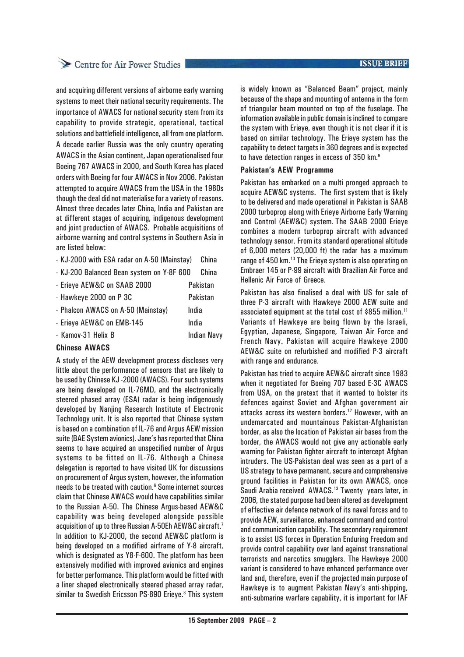## Centre for Air Power Studies

and acquiring different versions of airborne early warning systems to meet their national security requirements. The importance of AWACS for national security stem from its capability to provide strategic, operational, tactical solutions and battlefield intelligence, all from one platform. A decade earlier Russia was the only country operating AWACS in the Asian continent, Japan operationalised four Boeing 767 AWACS in 2000, and South Korea has placed orders with Boeing for four AWACS in Nov 2006. Pakistan attempted to acquire AWACS from the USA in the 1980s though the deal did not materialise for a variety of reasons. Almost three decades later China, India and Pakistan are at different stages of acquiring, indigenous development and joint production of AWACS. Probable acquisitions of airborne warning and control systems in Southern Asia in are listed below:

- KJ-2000 with ESA radar on A-50 (Mainstay) China
- KJ-200 Balanced Bean system on Y-8F 600 China

| - Erieye AEW&C on SAAB 2000        | Pakistan           |
|------------------------------------|--------------------|
| - Hawkeye 2000 on P 3C             | Pakistan           |
| - Phalcon AWACS on A-50 (Mainstay) | India              |
| - Erieye AEW&C on EMB-145          | India              |
| - Kamov-31 Helix B                 | <b>Indian Navy</b> |
|                                    |                    |

#### **Chinese AWACS**

A study of the AEW development process discloses very little about the performance of sensors that are likely to be used by Chinese KJ -2000 (AWACS). Four such systems are being developed on IL-76MD, and the electronically steered phased array (ESA) radar is being indigenously developed by Nanjing Research Institute of Electronic Technology unit. It is also reported that Chinese system is based on a combination of IL-76 and Argus AEW mission suite (BAE System avionics). Jane's has reported that China seems to have acquired an unspecified number of Argus systems to be fitted on IL-76. Although a Chinese delegation is reported to have visited UK for discussions on procurement of Argus system, however, the information needs to be treated with caution.6 Some internet sources claim that Chinese AWACS would have capabilities similar to the Russian A-50. The Chinese Argus-based AEW&C capability was being developed alongside possible acquisition of up to three Russian A-50Eh AEW&C aircraft.7 In addition to KJ-2000, the second AEW&C platform is being developed on a modified airframe of Y-8 aircraft, which is designated as Y8-F-600. The platform has been extensively modified with improved avionics and engines for better performance. This platform would be fitted with a liner shaped electronically steered phased array radar, similar to Swedish Ericsson PS-890 Erieye.<sup>8</sup> This system

is widely known as "Balanced Beam" project, mainly because of the shape and mounting of antenna in the form of triangular beam mounted on top of the fuselage. The information available in public domain is inclined to compare the system with Erieye, even though it is not clear if it is based on similar technology. The Erieye system has the capability to detect targets in 360 degrees and is expected to have detection ranges in excess of 350 km.9

## **Pakistan's AEW Programme**

Pakistan has embarked on a multi pronged approach to acquire AEW&C systems. The first system that is likely to be delivered and made operational in Pakistan is SAAB 2000 turboprop along with Erieye Airborne Early Warning and Control (AEW&C) system. The SAAB 2000 Erieye combines a modern turboprop aircraft with advanced technology sensor. From its standard operational altitude of 6,000 meters (20,000 ft) the radar has a maximum range of 450 km.10 The Erieye system is also operating on Embraer 145 or P-99 aircraft with Brazilian Air Force and Hellenic Air Force of Greece.

Pakistan has also finalised a deal with US for sale of three P-3 aircraft with Hawkeye 2000 AEW suite and associated equipment at the total cost of \$855 million.<sup>11</sup> Variants of Hawkeye are being flown by the Israeli, Egyptian, Japanese, Singapore, Taiwan Air Force and French Navy. Pakistan will acquire Hawkeye 2000 AEW&C suite on refurbished and modified P-3 aircraft with range and endurance.

Pakistan has tried to acquire AEW&C aircraft since 1983 when it negotiated for Boeing 707 based E-3C AWACS from USA, on the pretext that it wanted to bolster its defences against Soviet and Afghan government air attacks across its western borders.12 However, with an undemarcated and mountainous Pakistan-Afghanistan border, as also the location of Pakistan air bases from the border, the AWACS would not give any actionable early warning for Pakistan fighter aircraft to intercept Afghan intruders. The US-Pakistan deal was seen as a part of a US strategy to have permanent, secure and comprehensive ground facilities in Pakistan for its own AWACS, once Saudi Arabia received AWACS.13 Twenty years later, in 2006, the stated purpose had been altered as development of effective air defence network of its naval forces and to provide AEW, surveillance, enhanced command and control and communication capability. The secondary requirement is to assist US forces in Operation Enduring Freedom and provide control capability over land against transnational terrorists and narcotics smugglers. The Hawkeye 2000 variant is considered to have enhanced performance over land and, therefore, even if the projected main purpose of Hawkeye is to augment Pakistan Navy's anti-shipping, anti-submarine warfare capability, it is important for IAF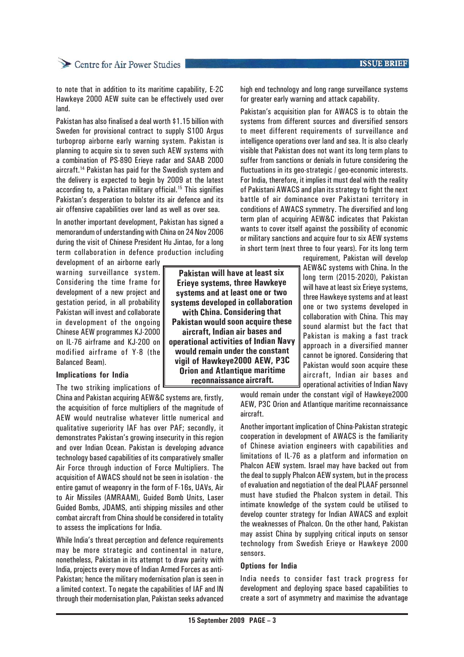# Centre for Air Power Studies

to note that in addition to its maritime capability, E-2C Hawkeye 2000 AEW suite can be effectively used over land.

Pakistan has also finalised a deal worth \$1.15 billion with Sweden for provisional contract to supply S100 Argus turboprop airborne early warning system. Pakistan is planning to acquire six to seven such AEW systems with a combination of PS-890 Erieye radar and SAAB 2000 aircraft.14 Pakistan has paid for the Swedish system and the delivery is expected to begin by 2009 at the latest according to, a Pakistan military official.15 This signifies Pakistan's desperation to bolster its air defence and its air offensive capabilities over land as well as over sea.

In another important development, Pakistan has signed a memorandum of understanding with China on 24 Nov 2006 during the visit of Chinese President Hu Jintao, for a long term collaboration in defence production including

development of an airborne early warning surveillance system. Considering the time frame for development of a new project and gestation period, in all probability Pakistan will invest and collaborate in development of the ongoing Chinese AEW programmes KJ-2000 on IL-76 airframe and KJ-200 on modified airframe of Y-8 (the Balanced Beam).

#### **Implications for India**

The two striking implications of

China and Pakistan acquiring AEW&C systems are, firstly, the acquisition of force multipliers of the magnitude of AEW would neutralise whatever little numerical and qualitative superiority IAF has over PAF; secondly, it demonstrates Pakistan's growing insecurity in this region and over Indian Ocean. Pakistan is developing advance technology based capabilities of its comparatively smaller Air Force through induction of Force Multipliers. The acquisition of AWACS should not be seen in isolation - the entire gamut of weaponry in the form of F-16s, UAVs, Air to Air Missiles (AMRAAM), Guided Bomb Units, Laser Guided Bombs, JDAMS, anti shipping missiles and other combat aircraft from China should be considered in totality to assess the implications for India.

While India's threat perception and defence requirements may be more strategic and continental in nature, nonetheless, Pakistan in its attempt to draw parity with India, projects every move of Indian Armed Forces as anti-Pakistan; hence the military modernisation plan is seen in a limited context. To negate the capabilities of IAF and IN through their modernisation plan, Pakistan seeks advanced

**Pakistan will have at least six Erieye systems, three Hawkeye systems and at least one or two systems developed in collaboration with China. Considering that Pakistan would soon acquire these aircraft, Indian air bases and operational activities of Indian Navy would remain under the constant vigil of Hawkeye2000 AEW, P3C Orion and Atlantique maritime reconnaissance aircraft.**

high end technology and long range surveillance systems for greater early warning and attack capability.

Pakistan's acquisition plan for AWACS is to obtain the systems from different sources and diversified sensors to meet different requirements of surveillance and intelligence operations over land and sea. It is also clearly visible that Pakistan does not want its long term plans to suffer from sanctions or denials in future considering the fluctuations in its geo-strategic / geo-economic interests. For India, therefore, it implies it must deal with the reality of Pakistani AWACS and plan its strategy to fight the next battle of air dominance over Pakistani territory in conditions of AWACS symmetry. The diversified and long term plan of acquiring AEW&C indicates that Pakistan wants to cover itself against the possibility of economic or military sanctions and acquire four to six AEW systems in short term (next three to four years). For its long term

> requirement, Pakistan will develop AEW&C systems with China. In the long term (2015-2020), Pakistan will have at least six Erieve systems. three Hawkeye systems and at least one or two systems developed in collaboration with China. This may sound alarmist but the fact that Pakistan is making a fast track approach in a diversified manner cannot be ignored. Considering that Pakistan would soon acquire these aircraft, Indian air bases and operational activities of Indian Navy

would remain under the constant vigil of Hawkeye2000 AEW, P3C Orion and Atlantique maritime reconnaissance aircraft.

Another important implication of China-Pakistan strategic cooperation in development of AWACS is the familiarity of Chinese aviation engineers with capabilities and limitations of IL-76 as a platform and information on Phalcon AEW system. Israel may have backed out from the deal to supply Phalcon AEW system, but in the process of evaluation and negotiation of the deal PLAAF personnel must have studied the Phalcon system in detail. This intimate knowledge of the system could be utilised to develop counter strategy for Indian AWACS and exploit the weaknesses of Phalcon. On the other hand, Pakistan may assist China by supplying critical inputs on sensor technology from Swedish Erieye or Hawkeye 2000 sensors.

#### **Options for India**

India needs to consider fast track progress for development and deploying space based capabilities to create a sort of asymmetry and maximise the advantage